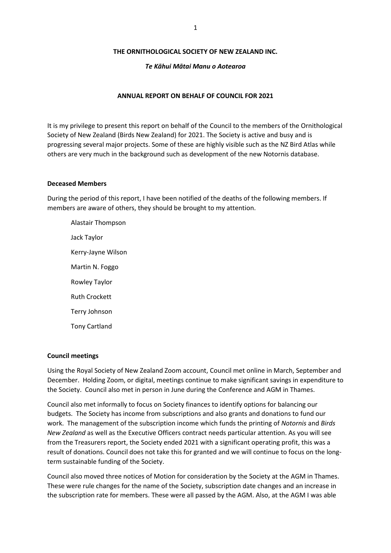### **THE ORNITHOLOGICAL SOCIETY OF NEW ZEALAND INC.**

### *Te Kāhui Mātai Manu o Aotearoa*

### **ANNUAL REPORT ON BEHALF OF COUNCIL FOR 2021**

It is my privilege to present this report on behalf of the Council to the members of the Ornithological Society of New Zealand (Birds New Zealand) for 2021. The Society is active and busy and is progressing several major projects. Some of these are highly visible such as the NZ Bird Atlas while others are very much in the background such as development of the new Notornis database.

### **Deceased Members**

During the period of this report, I have been notified of the deaths of the following members. If members are aware of others, they should be brought to my attention.

Alastair Thompson Jack Taylor Kerry-Jayne Wilson Martin N. Foggo Rowley Taylor Ruth Crockett Terry Johnson Tony Cartland

### **Council meetings**

Using the Royal Society of New Zealand Zoom account, Council met online in March, September and December. Holding Zoom, or digital, meetings continue to make significant savings in expenditure to the Society. Council also met in person in June during the Conference and AGM in Thames.

Council also met informally to focus on Society finances to identify options for balancing our budgets. The Society has income from subscriptions and also grants and donations to fund our work. The management of the subscription income which funds the printing of *Notornis* and *Birds New Zealand* as well as the Executive Officers contract needs particular attention. As you will see from the Treasurers report, the Society ended 2021 with a significant operating profit, this was a result of donations. Council does not take this for granted and we will continue to focus on the longterm sustainable funding of the Society.

Council also moved three notices of Motion for consideration by the Society at the AGM in Thames. These were rule changes for the name of the Society, subscription date changes and an increase in the subscription rate for members. These were all passed by the AGM. Also, at the AGM I was able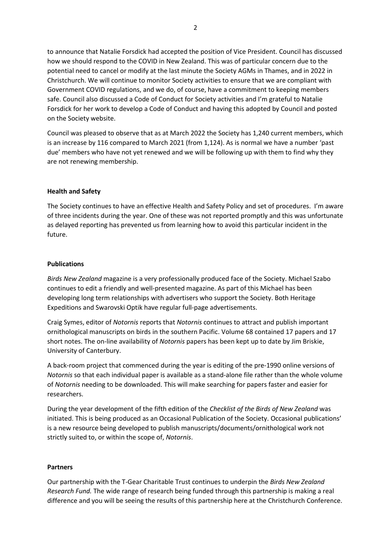to announce that Natalie Forsdick had accepted the position of Vice President. Council has discussed how we should respond to the COVID in New Zealand. This was of particular concern due to the potential need to cancel or modify at the last minute the Society AGMs in Thames, and in 2022 in Christchurch. We will continue to monitor Society activities to ensure that we are compliant with Government COVID regulations, and we do, of course, have a commitment to keeping members safe. Council also discussed a Code of Conduct for Society activities and I'm grateful to Natalie Forsdick for her work to develop a Code of Conduct and having this adopted by Council and posted on the Society website.

Council was pleased to observe that as at March 2022 the Society has 1,240 current members, which is an increase by 116 compared to March 2021 (from 1,124). As is normal we have a number 'past due' members who have not yet renewed and we will be following up with them to find why they are not renewing membership.

# **Health and Safety**

The Society continues to have an effective Health and Safety Policy and set of procedures. I'm aware of three incidents during the year. One of these was not reported promptly and this was unfortunate as delayed reporting has prevented us from learning how to avoid this particular incident in the future.

### **Publications**

*Birds New Zealand* magazine is a very professionally produced face of the Society. Michael Szabo continues to edit a friendly and well-presented magazine. As part of this Michael has been developing long term relationships with advertisers who support the Society. Both Heritage Expeditions and Swarovski Optik have regular full-page advertisements.

Craig Symes, editor of *Notornis* reports that *Notornis* continues to attract and publish important ornithological manuscripts on birds in the southern Pacific. Volume 68 contained 17 papers and 17 short notes. The on-line availability of *Notornis* papers has been kept up to date by Jim Briskie, University of Canterbury.

A back-room project that commenced during the year is editing of the pre-1990 online versions of *Notornis* so that each individual paper is available as a stand-alone file rather than the whole volume of *Notornis* needing to be downloaded. This will make searching for papers faster and easier for researchers.

During the year development of the fifth edition of the *Checklist of the Birds of New Zealand* was initiated. This is being produced as an Occasional Publication of the Society. Occasional publications' is a new resource being developed to publish manuscripts/documents/ornithological work not strictly suited to, or within the scope of, *Notornis*.

# **Partners**

Our partnership with the T-Gear Charitable Trust continues to underpin the *Birds New Zealand Research Fund.* The wide range of research being funded through this partnership is making a real difference and you will be seeing the results of this partnership here at the Christchurch Conference.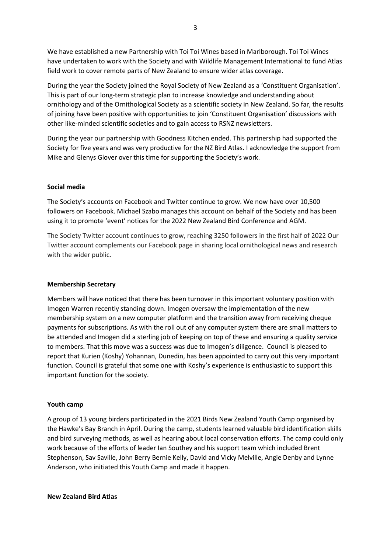We have established a new Partnership with Toi Toi Wines based in Marlborough. Toi Toi Wines have undertaken to work with the Society and with Wildlife Management International to fund Atlas field work to cover remote parts of New Zealand to ensure wider atlas coverage.

During the year the Society joined the Royal Society of New Zealand as a 'Constituent Organisation'. This is part of our long-term strategic plan to increase knowledge and understanding about ornithology and of the Ornithological Society as a scientific society in New Zealand. So far, the results of joining have been positive with opportunities to join 'Constituent Organisation' discussions with other like-minded scientific societies and to gain access to RSNZ newsletters.

During the year our partnership with Goodness Kitchen ended. This partnership had supported the Society for five years and was very productive for the NZ Bird Atlas. I acknowledge the support from Mike and Glenys Glover over this time for supporting the Society's work.

### **Social media**

The Society's accounts on Facebook and Twitter continue to grow. We now have over 10,500 followers on Facebook. Michael Szabo manages this account on behalf of the Society and has been using it to promote 'event' notices for the 2022 New Zealand Bird Conference and AGM.

The Society Twitter account continues to grow, reaching 3250 followers in the first half of 2022 Our Twitter account complements our Facebook page in sharing local ornithological news and research with the wider public.

# **Membership Secretary**

Members will have noticed that there has been turnover in this important voluntary position with Imogen Warren recently standing down. Imogen oversaw the implementation of the new membership system on a new computer platform and the transition away from receiving cheque payments for subscriptions. As with the roll out of any computer system there are small matters to be attended and Imogen did a sterling job of keeping on top of these and ensuring a quality service to members. That this move was a success was due to Imogen's diligence. Council is pleased to report that Kurien (Koshy) Yohannan, Dunedin, has been appointed to carry out this very important function. Council is grateful that some one with Koshy's experience is enthusiastic to support this important function for the society.

### **Youth camp**

A group of 13 young birders participated in the 2021 Birds New Zealand Youth Camp organised by the Hawke's Bay Branch in April. During the camp, students learned valuable bird identification skills and bird surveying methods, as well as hearing about local conservation efforts. The camp could only work because of the efforts of leader Ian Southey and his support team which included Brent Stephenson, Sav Saville, John Berry Bernie Kelly, David and Vicky Melville, Angie Denby and Lynne Anderson, who initiated this Youth Camp and made it happen.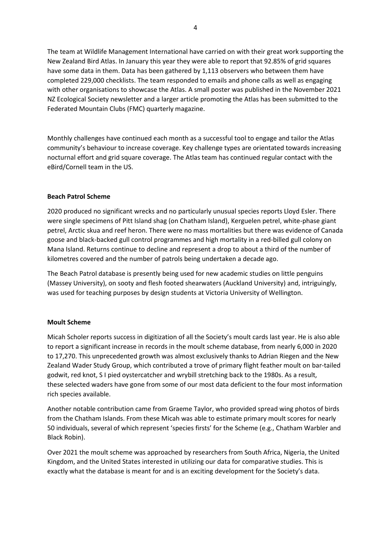The team at Wildlife Management International have carried on with their great work supporting the New Zealand Bird Atlas. In January this year they were able to report that 92.85% of grid squares have some data in them. Data has been gathered by 1,113 observers who between them have completed 229,000 checklists. The team responded to emails and phone calls as well as engaging with other organisations to showcase the Atlas. A small poster was published in the November 2021 NZ Ecological Society newsletter and a larger article promoting the Atlas has been submitted to the Federated Mountain Clubs (FMC) quarterly magazine.

Monthly challenges have continued each month as a successful tool to engage and tailor the Atlas community's behaviour to increase coverage. Key challenge types are orientated towards increasing nocturnal effort and grid square coverage. The Atlas team has continued regular contact with the eBird/Cornell team in the US.

# **Beach Patrol Scheme**

2020 produced no significant wrecks and no particularly unusual species reports Lloyd Esler. There were single specimens of Pitt Island shag (on Chatham Island), Kerguelen petrel, white-phase giant petrel, Arctic skua and reef heron. There were no mass mortalities but there was evidence of Canada goose and black-backed gull control programmes and high mortality in a red-billed gull colony on Mana Island. Returns continue to decline and represent a drop to about a third of the number of kilometres covered and the number of patrols being undertaken a decade ago.

The Beach Patrol database is presently being used for new academic studies on little penguins (Massey University), on sooty and flesh footed shearwaters (Auckland University) and, intriguingly, was used for teaching purposes by design students at Victoria University of Wellington.

### **Moult Scheme**

Micah Scholer reports success in digitization of all the Society's moult cards last year. He is also able to report a significant increase in records in the moult scheme database, from nearly 6,000 in 2020 to 17,270. This unprecedented growth was almost exclusively thanks to Adrian Riegen and the New Zealand Wader Study Group, which contributed a trove of primary flight feather moult on bar-tailed godwit, red knot, S I pied oystercatcher and wrybill stretching back to the 1980s. As a result, these selected waders have gone from some of our most data deficient to the four most information rich species available.

Another notable contribution came from Graeme Taylor, who provided spread wing photos of birds from the Chatham Islands. From these Micah was able to estimate primary moult scores for nearly 50 individuals, several of which represent 'species firsts' for the Scheme (e.g., Chatham Warbler and Black Robin).

Over 2021 the moult scheme was approached by researchers from South Africa, Nigeria, the United Kingdom, and the United States interested in utilizing our data for comparative studies. This is exactly what the database is meant for and is an exciting development for the Society's data.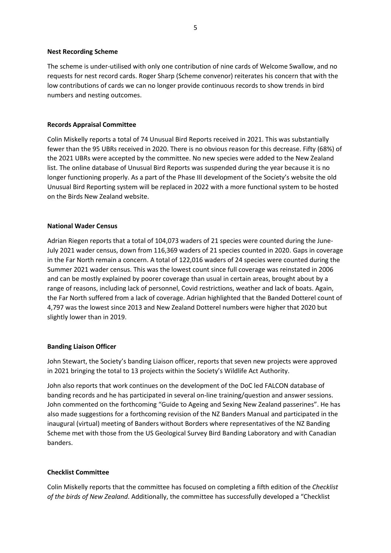### **Nest Recording Scheme**

The scheme is under-utilised with only one contribution of nine cards of Welcome Swallow, and no requests for nest record cards. Roger Sharp (Scheme convenor) reiterates his concern that with the low contributions of cards we can no longer provide continuous records to show trends in bird numbers and nesting outcomes.

# **Records Appraisal Committee**

Colin Miskelly reports a total of 74 Unusual Bird Reports received in 2021. This was substantially fewer than the 95 UBRs received in 2020. There is no obvious reason for this decrease. Fifty (68%) of the 2021 UBRs were accepted by the committee. No new species were added to the New Zealand list. The online database of Unusual Bird Reports was suspended during the year because it is no longer functioning properly. As a part of the Phase III development of the Society's website the old Unusual Bird Reporting system will be replaced in 2022 with a more functional system to be hosted on the Birds New Zealand website.

# **National Wader Census**

Adrian Riegen reports that a total of 104,073 waders of 21 species were counted during the June-July 2021 wader census, down from 116,369 waders of 21 species counted in 2020. Gaps in coverage in the Far North remain a concern. A total of 122,016 waders of 24 species were counted during the Summer 2021 wader census. This was the lowest count since full coverage was reinstated in 2006 and can be mostly explained by poorer coverage than usual in certain areas, brought about by a range of reasons, including lack of personnel, Covid restrictions, weather and lack of boats. Again, the Far North suffered from a lack of coverage. Adrian highlighted that the Banded Dotterel count of 4,797 was the lowest since 2013 and New Zealand Dotterel numbers were higher that 2020 but slightly lower than in 2019.

# **Banding Liaison Officer**

John Stewart, the Society's banding Liaison officer, reports that seven new projects were approved in 2021 bringing the total to 13 projects within the Society's Wildlife Act Authority.

John also reports that work continues on the development of the DoC led FALCON database of banding records and he has participated in several on-line training/question and answer sessions. John commented on the forthcoming "Guide to Ageing and Sexing New Zealand passerines". He has also made suggestions for a forthcoming revision of the NZ Banders Manual and participated in the inaugural (virtual) meeting of Banders without Borders where representatives of the NZ Banding Scheme met with those from the US Geological Survey Bird Banding Laboratory and with Canadian banders.

# **Checklist Committee**

Colin Miskelly reports that the committee has focused on completing a fifth edition of the *Checklist of the birds of New Zealand*. Additionally, the committee has successfully developed a "Checklist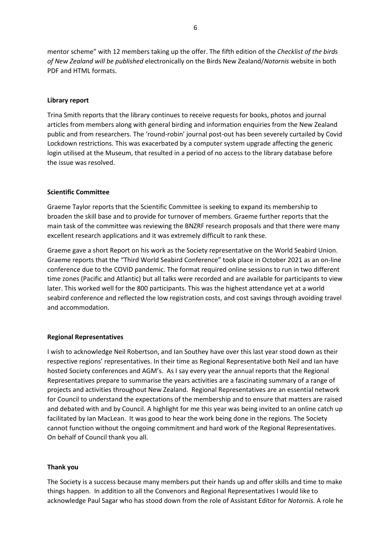mentor scheme" with 12 members taking up the offer. The fifth edition of the *Checklist of the birds of New Zealand will be published* electronically on the Birds New Zealand/*Notornis* website in both PDF and HTML formats.

### **Library report**

Trina Smith reports that the library continues to receive requests for books, photos and journal articles from members along with general birding and information enquiries from the New Zealand public and from researchers. The 'round-robin' journal post-out has been severely curtailed by Covid Lockdown restrictions. This was exacerbated by a computer system upgrade affecting the generic login utilised at the Museum, that resulted in a period of no access to the library database before the issue was resolved.

### **Scientific Committee**

Graeme Taylor reports that the Scientific Committee is seeking to expand its membership to broaden the skill base and to provide for turnover of members. Graeme further reports that the main task of the committee was reviewing the BNZRF research proposals and that there were many excellent research applications and it was extremely difficult to rank these.

Graeme gave a short Report on his work as the Society representative on the World Seabird Union. Graeme reports that the "Third World Seabird Conference" took place in October 2021 as an on-line conference due to the COVID pandemic. The format required online sessions to run in two different time zones (Pacific and Atlantic) but all talks were recorded and are available for participants to view later. This worked well for the 800 participants. This was the highest attendance yet at a world seabird conference and reflected the low registration costs, and cost savings through avoiding travel and accommodation.

#### **Regional Representatives**

I wish to acknowledge Neil Robertson, and Ian Southey have over this last year stood down as their respective regions' representatives. In their time as Regional Representative both Neil and Ian have hosted Society conferences and AGM's. As I say every year the annual reports that the Regional Representatives prepare to summarise the years activities are a fascinating summary of a range of projects and activities throughout New Zealand. Regional Representatives are an essential network for Council to understand the expectations of the membership and to ensure that matters are raised and debated with and by Council. A highlight for me this year was being invited to an online catch up facilitated by Ian MacLean. It was good to hear the work being done in the regions. The Society cannot function without the ongoing commitment and hard work of the Regional Representatives. On behalf of Council thank you all.

#### **Thank you**

The Society is a success because many members put their hands up and offer skills and time to make things happen. In addition to all the Convenors and Regional Representatives I would like to acknowledge Paul Sagar who has stood down from the role of Assistant Editor for *Notornis.* A role he